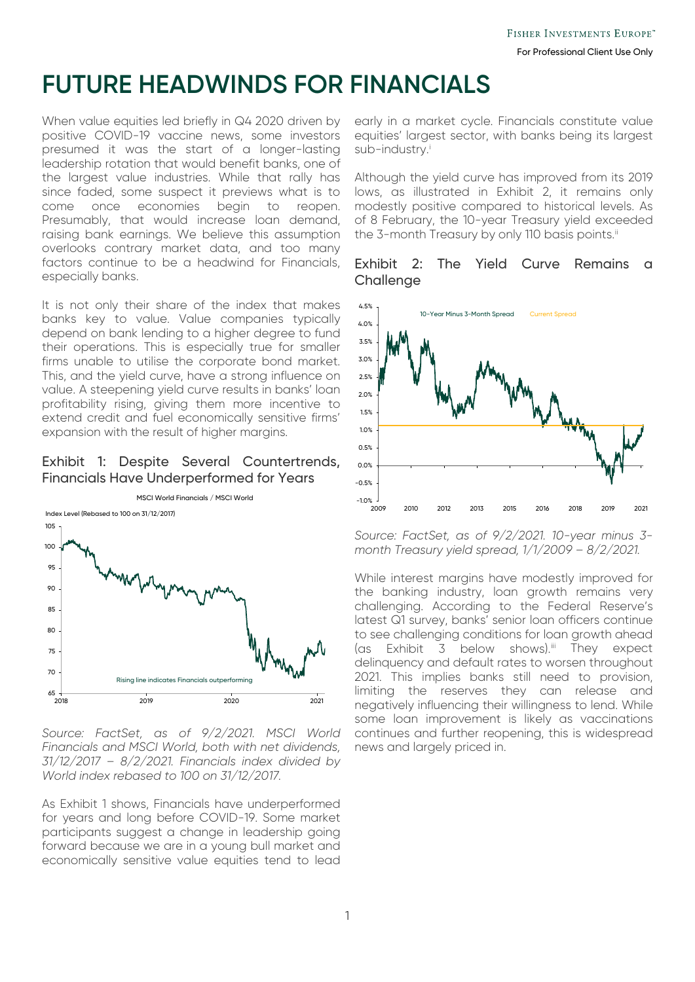# **FUTURE HEADWINDS FOR FINANCIALS**

When value equities led briefly in Q4 2020 driven by positive COVID-19 vaccine news, some investors presumed it was the start of a longer-lasting leadership rotation that would benefit banks, one of the largest value industries. While that rally has since faded, some suspect it previews what is to come once economies begin to reopen. Presumably, that would increase loan demand, raising bank earnings. We believe this assumption overlooks contrary market data, and too many factors continue to be a headwind for Financials, especially banks.

It is not only their share of the index that makes banks key to value. Value companies typically depend on bank lending to a higher degree to fund their operations. This is especially true for smaller firms unable to utilise the corporate bond market. This, and the yield curve, have a strong influence on value. A steepening yield curve results in banks' loan profitability rising, giving them more incentive to extend credit and fuel economically sensitive firms' expansion with the result of higher margins.

### Exhibit 1: Despite Several Countertrends, Financials Have Underperformed for Years



*Source: FactSet, as of 9/2/2021. MSCI World Financials and MSCI World, both with net dividends, 31/12/2017 – 8/2/2021. Financials index divided by World index rebased to 100 on 31/12/2017.*

As Exhibit 1 shows, Financials have underperformed for years and long before COVID-19. Some market participants suggest a change in leadership going forward because we are in a young bull market and economically sensitive value equities tend to lead early in a market cycle. Financials constitute value equities' largest sector, with banks being its largest sub-[i](#page-1-0)ndustry.<sup>i</sup>

Although the yield curve has improved from its 2019 lows, as illustrated in Exhibit 2, it remains only modestly positive compared to historical levels. As of 8 February, the 10-year Treasury yield exceeded the 3-month Treasury by only 110 basis points.<sup>[ii](#page-1-1)</sup>

#### Exhibit 2: The Yield Curve Remains a **Challenge**



*Source: FactSet, as of 9/2/2021. 10-year minus 3 month Treasury yield spread, 1/1/2009 – 8/2/2021.*

While interest margins have modestly improved for the banking industry, loan growth remains very challenging. According to the Federal Reserve's latest Q1 survey, banks' senior loan officers continue to see challenging conditions for loan growth ahead (as Exhibit 3 below shows).<sup>[iii](#page-1-2)</sup> They expect delinquency and default rates to worsen throughout 2021. This implies banks still need to provision, limiting the reserves they can release and negatively influencing their willingness to lend. While some loan improvement is likely as vaccinations continues and further reopening, this is widespread news and largely priced in.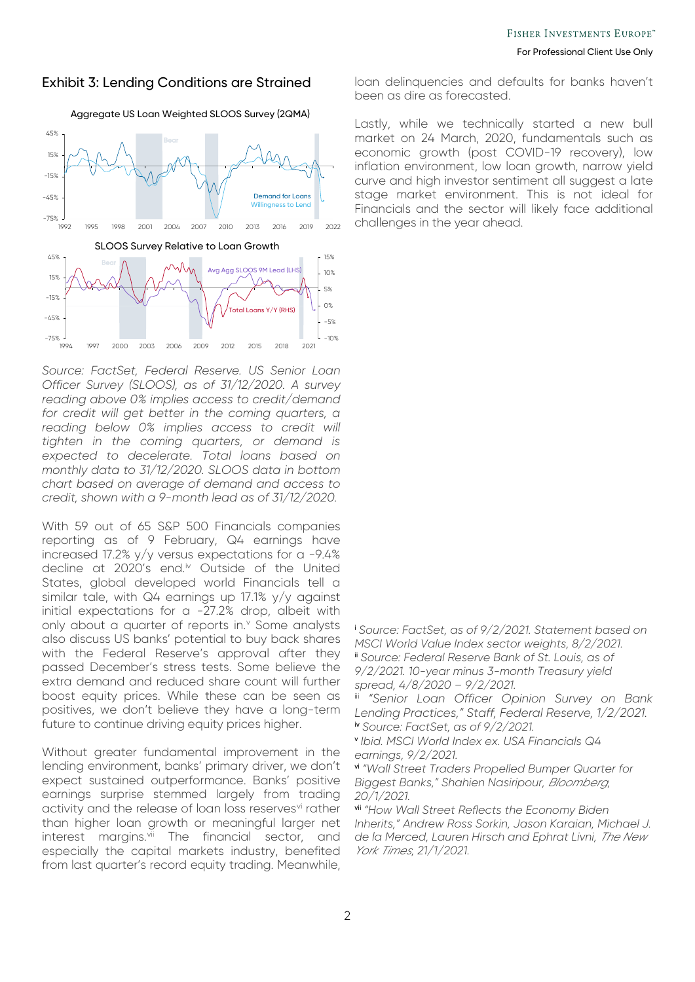#### Exhibit 3: Lending Conditions are Strained



Aggregate US Loan Weighted SLOOS Survey (2QMA)

<span id="page-1-0"></span>*Source: FactSet, Federal Reserve. US Senior Loan Officer Survey (SLOOS), as of 31/12/2020. A survey reading above 0% implies access to credit/demand for credit will get better in the coming quarters, a reading below 0% implies access to credit will tighten in the coming quarters, or demand is expected to decelerate. Total loans based on monthly data to 31/12/2020. SLOOS data in bottom chart based on average of demand and access to credit, shown with a 9-month lead as of 31/12/2020.*

With 59 out of 65 S&P 500 Financials companies reporting as of 9 February, Q4 earnings have increased 17.2% y/y versus expectations for a -9.4% decline at 2020's end.[iv](#page-1-3) Outside of the United States, global developed world Financials tell a similar tale, with Q4 earnings up 17.1% y/y against initial expectations for a -27.2% drop, albeit with only about a quarter of reports in.<sup>[v](#page-1-4)</sup> Some analysts also discuss US banks' potential to buy back shares with the Federal Reserve's approval after they passed December's stress tests. Some believe the extra demand and reduced share count will further boost equity prices. While these can be seen as positives, we don't believe they have a long-term future to continue driving equity prices higher.

<span id="page-1-6"></span><span id="page-1-5"></span><span id="page-1-4"></span><span id="page-1-3"></span><span id="page-1-2"></span><span id="page-1-1"></span>Without greater fundamental improvement in the lending environment, banks' primary driver, we don't expect sustained outperformance. Banks' positive earnings surprise stemmed largely from trading acti[vi](#page-1-5)ty and the release of loan loss reservesvi rather than higher loan growth or meaningful larger net interest margins.<sup>[vii](#page-1-6)</sup> The financial sector, and especially the capital markets industry, benefited from last quarter's record equity trading. Meanwhile,

loan delinquencies and defaults for banks haven't been as dire as forecasted.

Lastly, while we technically started a new bull market on 24 March, 2020, fundamentals such as economic growth (post COVID-19 recovery), low inflation environment, low loan growth, narrow yield curve and high investor sentiment all suggest a late stage market environment. This is not ideal for Financials and the sector will likely face additional challenges in the year ahead.

<sup>i</sup> *Source: FactSet, as of 9/2/2021. Statement based on MSCI World Value Index sector weights, 8/2/2021.* ii *Source: Federal Reserve Bank of St. Louis, as of 9/2/2021. 10-year minus 3-month Treasury yield spread, 4/8/2020 – 9/2/2021.*

"Senior Loan Officer Opinion Survey on Bank *Lending Practices," Staff, Federal Reserve, 1/2/2021.* iv *Source: FactSet, as of 9/2/2021.*

<sup>v</sup> *Ibid. MSCI World Index ex. USA Financials Q4 earnings, 9/2/2021.*

vi *"Wall Street Traders Propelled Bumper Quarter for Biggest Banks," Shahien Nasiripour, Bloomberg, 20/1/2021.*

vii *"How Wall Street Reflects the Economy Biden Inherits," Andrew Ross Sorkin, Jason Karaian, Michael J. de la Merced, Lauren Hirsch and Ephrat Livni, The New York Times, 21/1/2021.*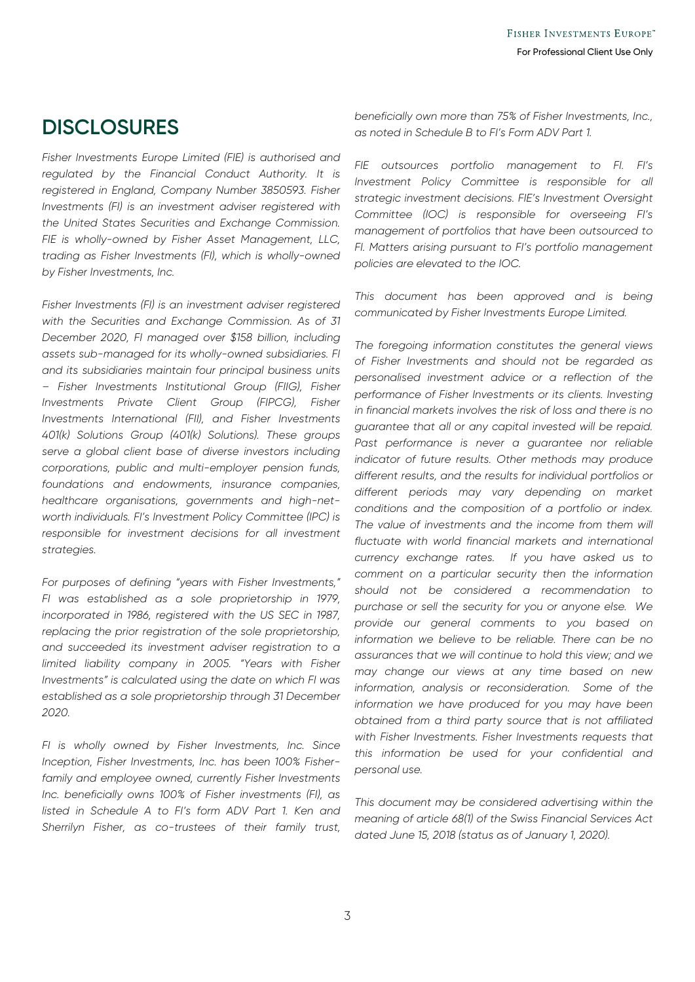## **DISCLOSURES**

*Fisher Investments Europe Limited (FIE) is authorised and regulated by the Financial Conduct Authority. It is registered in England, Company Number 3850593. Fisher Investments (FI) is an investment adviser registered with the United States Securities and Exchange Commission. FIE is wholly-owned by Fisher Asset Management, LLC, trading as Fisher Investments (FI), which is wholly-owned by Fisher Investments, Inc.*

*Fisher Investments (FI) is an investment adviser registered with the Securities and Exchange Commission. As of 31 December 2020, FI managed over \$158 billion, including assets sub-managed for its wholly-owned subsidiaries. FI and its subsidiaries maintain four principal business units – Fisher Investments Institutional Group (FIIG), Fisher Investments Private Client Group (FIPCG), Fisher Investments International (FII), and Fisher Investments 401(k) Solutions Group (401(k) Solutions). These groups serve a global client base of diverse investors including corporations, public and multi-employer pension funds, foundations and endowments, insurance companies, healthcare organisations, governments and high-networth individuals. FI's Investment Policy Committee (IPC) is responsible for investment decisions for all investment strategies.*

*For purposes of defining "years with Fisher Investments," FI was established as a sole proprietorship in 1979, incorporated in 1986, registered with the US SEC in 1987, replacing the prior registration of the sole proprietorship, and succeeded its investment adviser registration to a limited liability company in 2005. "Years with Fisher Investments" is calculated using the date on which FI was established as a sole proprietorship through 31 December 2020.*

*FI is wholly owned by Fisher Investments, Inc. Since Inception, Fisher Investments, Inc. has been 100% Fisherfamily and employee owned, currently Fisher Investments Inc. beneficially owns 100% of Fisher investments (FI), as listed in Schedule A to FI's form ADV Part 1. Ken and Sherrilyn Fisher, as co-trustees of their family trust,* 

*beneficially own more than 75% of Fisher Investments, Inc., as noted in Schedule B to FI's Form ADV Part 1.*

*FIE outsources portfolio management to FI. FI's Investment Policy Committee is responsible for all strategic investment decisions. FIE's Investment Oversight Committee (IOC) is responsible for overseeing FI's management of portfolios that have been outsourced to FI. Matters arising pursuant to FI's portfolio management policies are elevated to the IOC.*

*This document has been approved and is being communicated by Fisher Investments Europe Limited.*

*The foregoing information constitutes the general views of Fisher Investments and should not be regarded as personalised investment advice or a reflection of the performance of Fisher Investments or its clients. Investing in financial markets involves the risk of loss and there is no guarantee that all or any capital invested will be repaid.*  Past performance is never a guarantee nor reliable *indicator of future results. Other methods may produce different results, and the results for individual portfolios or different periods may vary depending on market conditions and the composition of a portfolio or index. The value of investments and the income from them will fluctuate with world financial markets and international currency exchange rates. If you have asked us to comment on a particular security then the information should not be considered a recommendation to purchase or sell the security for you or anyone else. We provide our general comments to you based on information we believe to be reliable. There can be no assurances that we will continue to hold this view; and we may change our views at any time based on new information, analysis or reconsideration. Some of the information we have produced for you may have been obtained from a third party source that is not affiliated with Fisher Investments. Fisher Investments requests that this information be used for your confidential and personal use.*

*This document may be considered advertising within the meaning of article 68(1) of the Swiss Financial Services Act dated June 15, 2018 (status as of January 1, 2020).*